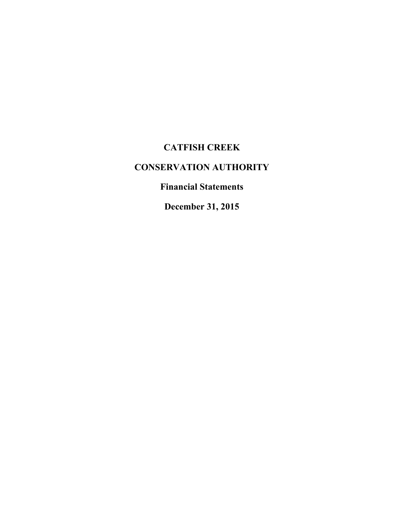# **CATFISH CREEK**

# **CONSERVATION AUTHORITY**

**Financial Statements**

**December 31, 2015**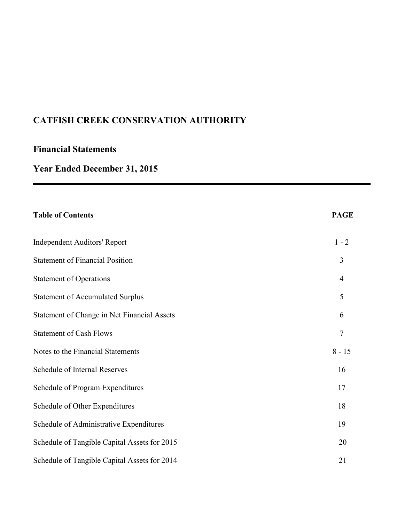# **Financial Statements**

# **Year Ended December 31, 2015**

| <b>Table of Contents</b>                     | <b>PAGE</b>    |
|----------------------------------------------|----------------|
| <b>Independent Auditors' Report</b>          | $1 - 2$        |
| <b>Statement of Financial Position</b>       | 3              |
| <b>Statement of Operations</b>               | $\overline{4}$ |
| <b>Statement of Accumulated Surplus</b>      | 5              |
| Statement of Change in Net Financial Assets  | 6              |
| <b>Statement of Cash Flows</b>               | $\overline{7}$ |
| Notes to the Financial Statements            | $8 - 15$       |
| Schedule of Internal Reserves                | 16             |
| Schedule of Program Expenditures             | 17             |
| Schedule of Other Expenditures               | 18             |
| Schedule of Administrative Expenditures      | 19             |
| Schedule of Tangible Capital Assets for 2015 | 20             |
| Schedule of Tangible Capital Assets for 2014 | 21             |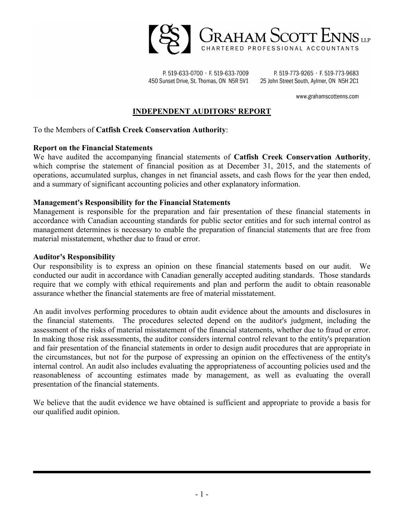

P. 519-633-0700 · F. 519-633-7009 450 Sunset Drive, St. Thomas, ON N5R 5V1

P. 519-773-9265 · F. 519-773-9683 25 John Street South, Aylmer, ON N5H 2C1

www.grahamscottenns.com

#### **INDEPENDENT AUDITORS' REPORT**

#### To the Members of **Catfish Creek Conservation Authority**:

#### **Report on the Financial Statements**

We have audited the accompanying financial statements of **Catfish Creek Conservation Authority**, which comprise the statement of financial position as at December 31, 2015, and the statements of operations, accumulated surplus, changes in net financial assets, and cash flows for the year then ended, and a summary of significant accounting policies and other explanatory information.

#### **Management's Responsibility for the Financial Statements**

Management is responsible for the preparation and fair presentation of these financial statements in accordance with Canadian accounting standards for public sector entities and for such internal control as management determines is necessary to enable the preparation of financial statements that are free from material misstatement, whether due to fraud or error.

#### **Auditor's Responsibility**

Our responsibility is to express an opinion on these financial statements based on our audit. We conducted our audit in accordance with Canadian generally accepted auditing standards. Those standards require that we comply with ethical requirements and plan and perform the audit to obtain reasonable assurance whether the financial statements are free of material misstatement.

An audit involves performing procedures to obtain audit evidence about the amounts and disclosures in the financial statements. The procedures selected depend on the auditor's judgment, including the assessment of the risks of material misstatement of the financial statements, whether due to fraud or error. In making those risk assessments, the auditor considers internal control relevant to the entity's preparation and fair presentation of the financial statements in order to design audit procedures that are appropriate in the circumstances, but not for the purpose of expressing an opinion on the effectiveness of the entity's internal control. An audit also includes evaluating the appropriateness of accounting policies used and the reasonableness of accounting estimates made by management, as well as evaluating the overall presentation of the financial statements.

We believe that the audit evidence we have obtained is sufficient and appropriate to provide a basis for our qualified audit opinion.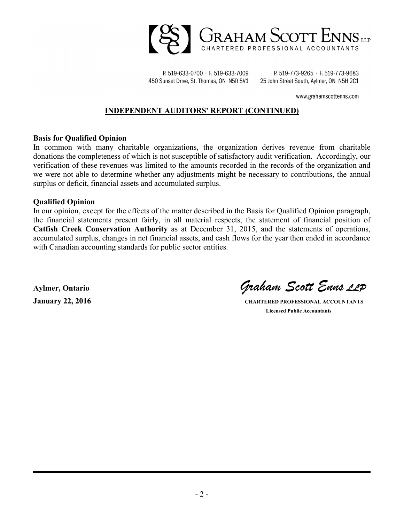

P. 519-633-0700 · F. 519-633-7009 450 Sunset Drive, St. Thomas, ON N5R 5V1

P. 519-773-9265 · F. 519-773-9683 25 John Street South, Aylmer, ON N5H 2C1

www.grahamscottenns.com

#### **INDEPENDENT AUDITORS' REPORT (CONTINUED)**

#### **Basis for Qualified Opinion**

In common with many charitable organizations, the organization derives revenue from charitable donations the completeness of which is not susceptible of satisfactory audit verification. Accordingly, our verification of these revenues was limited to the amounts recorded in the records of the organization and we were not able to determine whether any adjustments might be necessary to contributions, the annual surplus or deficit, financial assets and accumulated surplus.

#### **Qualified Opinion**

In our opinion, except for the effects of the matter described in the Basis for Qualified Opinion paragraph, the financial statements present fairly, in all material respects, the statement of financial position of **Catfish Creek Conservation Authority** as at December 31, 2015, and the statements of operations, accumulated surplus, changes in net financial assets, and cash flows for the year then ended in accordance with Canadian accounting standards for public sector entities.

**Aylmer, Ontario** *Graham Scott Enns LLP*

**January 22, 2016 CHARTERED PROFESSIONAL ACCOUNTANTS Licensed Public Accountants**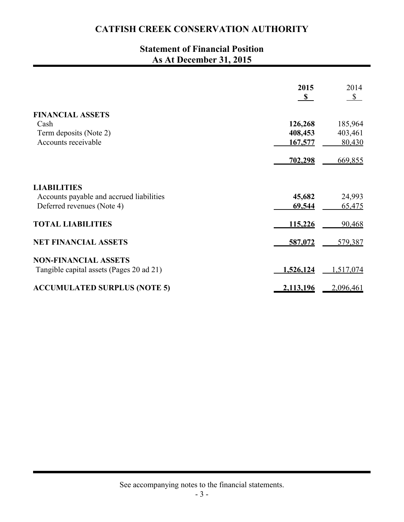# **Statement of Financial Position As At December 31, 2015**

|                                          | 2015         | 2014      |
|------------------------------------------|--------------|-----------|
|                                          | $\mathbf{s}$ | S         |
| <b>FINANCIAL ASSETS</b>                  |              |           |
| Cash                                     | 126,268      | 185,964   |
| Term deposits (Note 2)                   | 408,453      | 403,461   |
| Accounts receivable                      | 167,577      | 80,430    |
|                                          | 702,298      | 669,855   |
| <b>LIABILITIES</b>                       |              |           |
| Accounts payable and accrued liabilities | 45,682       | 24,993    |
| Deferred revenues (Note 4)               | 69,544       | 65,475    |
| <b>TOTAL LIABILITIES</b>                 | 115,226      | 90,468    |
| <b>NET FINANCIAL ASSETS</b>              | 587,072      | 579,387   |
| <b>NON-FINANCIAL ASSETS</b>              |              |           |
| Tangible capital assets (Pages 20 ad 21) | 1,526,124    | 1,517,074 |
| <b>ACCUMULATED SURPLUS (NOTE 5)</b>      | 2,113,196    | 2,096,461 |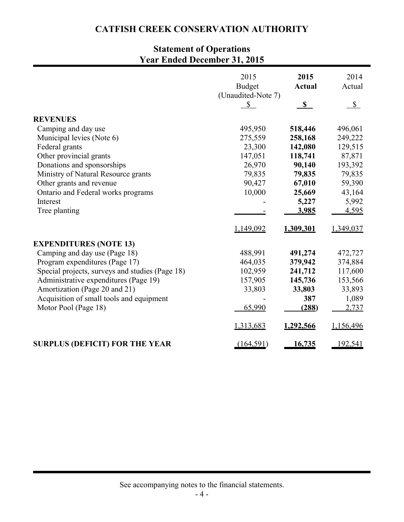# **Statement of Operations Year Ended December 31, 2015**

|                                                 | 2015<br><b>Budget</b>    | 2015<br><b>Actual</b> | 2014<br>Actual |
|-------------------------------------------------|--------------------------|-----------------------|----------------|
|                                                 | (Unaudited-Note 7)<br>\$ | S                     | $\mathbb{S}$   |
|                                                 |                          |                       |                |
| <b>REVENUES</b>                                 |                          |                       |                |
| Camping and day use                             | 495,950                  | 518,446               | 496,061        |
| Municipal levies (Note 6)                       | 275,559                  | 258,168               | 249,222        |
| Federal grants                                  | 23,300                   | 142,080               | 129,515        |
| Other provincial grants                         | 147,051                  | 118,741               | 87,871         |
| Donations and sponsorships                      | 26,970                   | 90,140                | 193,392        |
| Ministry of Natural Resource grants             | 79,835                   | 79,835                | 79,835         |
| Other grants and revenue                        | 90,427                   | 67,010                | 59,390         |
| Ontario and Federal works programs              | 10,000                   | 25,669                | 43,164         |
| Interest                                        |                          | 5,227                 | 5,992          |
| Tree planting                                   |                          | 3,985                 | 4,595          |
|                                                 | 1,149,092                | 1,309,301             | 1,349,037      |
| <b>EXPENDITURES (NOTE 13)</b>                   |                          |                       |                |
| Camping and day use (Page 18)                   | 488,991                  | 491,274               | 472,727        |
| Program expenditures (Page 17)                  | 464,035                  | 379,942               | 374,884        |
| Special projects, surveys and studies (Page 18) | 102,959                  | 241,712               | 117,600        |
| Administrative expenditures (Page 19)           | 157,905                  | 145,736               | 153,566        |
| Amortization (Page 20 and 21)                   | 33,803                   | 33,803                | 33,893         |
| Acquisition of small tools and equipment        |                          | 387                   | 1,089          |
| Motor Pool (Page 18)                            | 65,990                   | (288)                 | 2,737          |
|                                                 | 1,313,683                | 1,292,566             | 1,156,496      |
| <b>SURPLUS (DEFICIT) FOR THE YEAR</b>           | (164, 591)               | <u>16,735</u>         | <u>192,541</u> |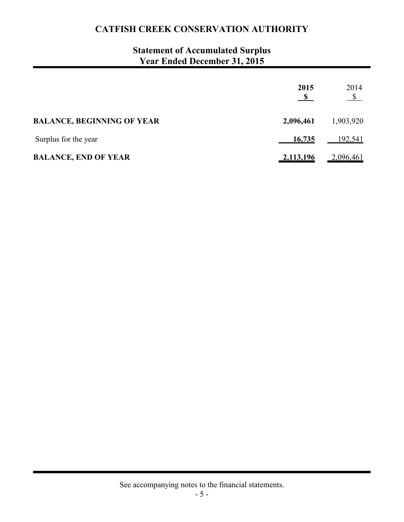# **Statement of Accumulated Surplus Year Ended December 31, 2015**

|                                   | 2015      | 2014<br>$\frac{\S}{}$ |
|-----------------------------------|-----------|-----------------------|
| <b>BALANCE, BEGINNING OF YEAR</b> | 2,096,461 | 1,903,920             |
| Surplus for the year              | 16,735    | 192,541               |
| <b>BALANCE, END OF YEAR</b>       | 2,113,196 | 2,096,461             |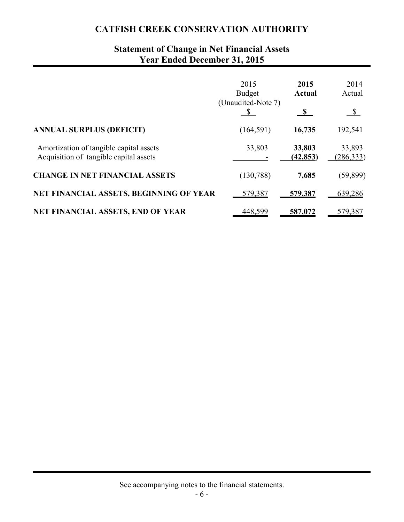# **Statement of Change in Net Financial Assets Year Ended December 31, 2015**

|                                                                                   | 2015                                | 2015                | 2014                 |
|-----------------------------------------------------------------------------------|-------------------------------------|---------------------|----------------------|
|                                                                                   | <b>Budget</b><br>(Unaudited-Note 7) | <b>Actual</b>       | Actual               |
|                                                                                   |                                     | S,                  | $\mathbb{S}$         |
| <b>ANNUAL SURPLUS (DEFICIT)</b>                                                   | (164, 591)                          | 16,735              | 192,541              |
| Amortization of tangible capital assets<br>Acquisition of tangible capital assets | 33,803                              | 33,803<br>(42, 853) | 33,893<br>(286, 333) |
| <b>CHANGE IN NET FINANCIAL ASSETS</b>                                             | (130, 788)                          | 7,685               | (59, 899)            |
| NET FINANCIAL ASSETS, BEGINNING OF YEAR                                           | 579,387                             | 579,387             | 639,286              |
| <b>NET FINANCIAL ASSETS, END OF YEAR</b>                                          | 448,599                             | 587,072             | 579,387              |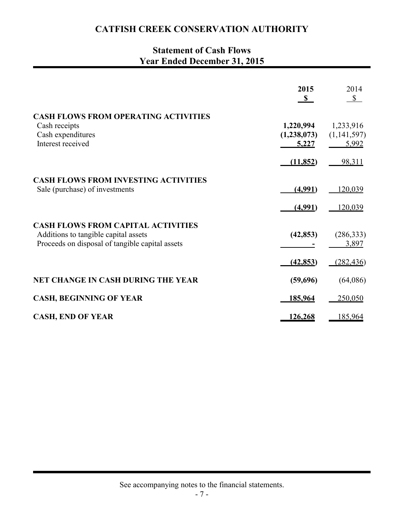# **Statement of Cash Flows Year Ended December 31, 2015**

|                                                                                                                                      | 2015<br>$\mathbf{s}$              | 2014<br>S                         |
|--------------------------------------------------------------------------------------------------------------------------------------|-----------------------------------|-----------------------------------|
| <b>CASH FLOWS FROM OPERATING ACTIVITIES</b><br>Cash receipts<br>Cash expenditures<br>Interest received                               | 1,220,994<br>(1,238,073)<br>5,227 | 1,233,916<br>(1,141,597)<br>5,992 |
|                                                                                                                                      | (11, 852)                         | 98,311                            |
| <b>CASH FLOWS FROM INVESTING ACTIVITIES</b><br>Sale (purchase) of investments                                                        | (4,991)                           | 120,039                           |
|                                                                                                                                      | (4,991)                           | 120,039                           |
| <b>CASH FLOWS FROM CAPITAL ACTIVITIES</b><br>Additions to tangible capital assets<br>Proceeds on disposal of tangible capital assets | (42, 853)                         | (286, 333)<br>3,897               |
|                                                                                                                                      | (42, 853)                         | (282, 436)                        |
| <b>NET CHANGE IN CASH DURING THE YEAR</b>                                                                                            | (59,696)                          | (64,086)                          |
| <b>CASH, BEGINNING OF YEAR</b>                                                                                                       | 185,964                           | 250,050                           |
| <b>CASH, END OF YEAR</b>                                                                                                             | 126,268                           | 185,964                           |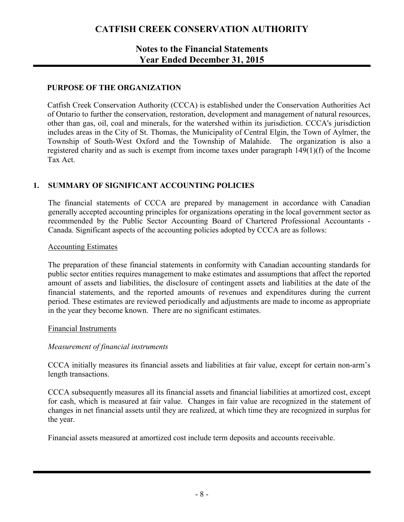### **Notes to the Financial Statements Year Ended December 31, 2015**

#### **PURPOSE OF THE ORGANIZATION**

Catfish Creek Conservation Authority (CCCA) is established under the Conservation Authorities Act of Ontario to further the conservation, restoration, development and management of natural resources, other than gas, oil, coal and minerals, for the watershed within its jurisdiction. CCCA's jurisdiction includes areas in the City of St. Thomas, the Municipality of Central Elgin, the Town of Aylmer, the Township of South-West Oxford and the Township of Malahide. The organization is also a registered charity and as such is exempt from income taxes under paragraph 149(1)(f) of the Income Tax Act.

#### **1. SUMMARY OF SIGNIFICANT ACCOUNTING POLICIES**

The financial statements of CCCA are prepared by management in accordance with Canadian generally accepted accounting principles for organizations operating in the local government sector as recommended by the Public Sector Accounting Board of Chartered Professional Accountants - Canada. Significant aspects of the accounting policies adopted by CCCA are as follows:

#### Accounting Estimates

The preparation of these financial statements in conformity with Canadian accounting standards for public sector entities requires management to make estimates and assumptions that affect the reported amount of assets and liabilities, the disclosure of contingent assets and liabilities at the date of the financial statements, and the reported amounts of revenues and expenditures during the current period. These estimates are reviewed periodically and adjustments are made to income as appropriate in the year they become known. There are no significant estimates.

#### Financial Instruments

#### *Measurement of financial instruments*

CCCA initially measures its financial assets and liabilities at fair value, except for certain non-arm's length transactions.

CCCA subsequently measures all its financial assets and financial liabilities at amortized cost, except for cash, which is measured at fair value. Changes in fair value are recognized in the statement of changes in net financial assets until they are realized, at which time they are recognized in surplus for the year.

Financial assets measured at amortized cost include term deposits and accounts receivable.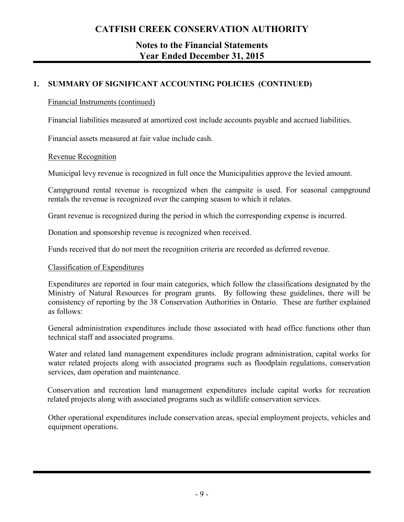### **Notes to the Financial Statements Year Ended December 31, 2015**

### **1. SUMMARY OF SIGNIFICANT ACCOUNTING POLICIES (CONTINUED)**

#### Financial Instruments (continued)

Financial liabilities measured at amortized cost include accounts payable and accrued liabilities.

Financial assets measured at fair value include cash.

#### Revenue Recognition

Municipal levy revenue is recognized in full once the Municipalities approve the levied amount.

Campground rental revenue is recognized when the campsite is used. For seasonal campground rentals the revenue is recognized over the camping season to which it relates.

Grant revenue is recognized during the period in which the corresponding expense is incurred.

Donation and sponsorship revenue is recognized when received.

Funds received that do not meet the recognition criteria are recorded as deferred revenue.

#### Classification of Expenditures

Expenditures are reported in four main categories, which follow the classifications designated by the Ministry of Natural Resources for program grants. By following these guidelines, there will be consistency of reporting by the 38 Conservation Authorities in Ontario. These are further explained as follows:

General administration expenditures include those associated with head office functions other than technical staff and associated programs.

Water and related land management expenditures include program administration, capital works for water related projects along with associated programs such as floodplain regulations, conservation services, dam operation and maintenance.

Conservation and recreation land management expenditures include capital works for recreation related projects along with associated programs such as wildlife conservation services.

Other operational expenditures include conservation areas, special employment projects, vehicles and equipment operations.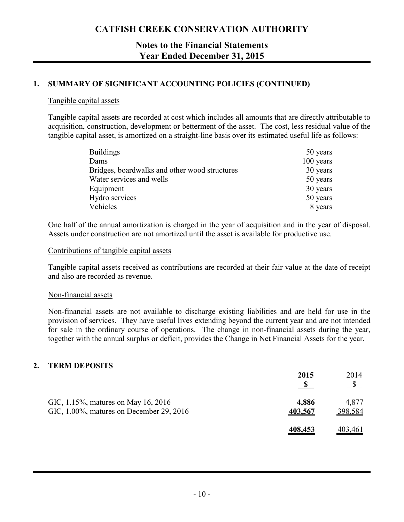### **Notes to the Financial Statements Year Ended December 31, 2015**

#### **1. SUMMARY OF SIGNIFICANT ACCOUNTING POLICIES (CONTINUED)**

#### Tangible capital assets

Tangible capital assets are recorded at cost which includes all amounts that are directly attributable to acquisition, construction, development or betterment of the asset. The cost, less residual value of the tangible capital asset, is amortized on a straight-line basis over its estimated useful life as follows:

| <b>Buildings</b>                              | 50 years  |
|-----------------------------------------------|-----------|
| Dams                                          | 100 years |
| Bridges, boardwalks and other wood structures | 30 years  |
| Water services and wells                      | 50 years  |
| Equipment                                     | 30 years  |
| Hydro services                                | 50 years  |
| Vehicles                                      | 8 years   |

One half of the annual amortization is charged in the year of acquisition and in the year of disposal. Assets under construction are not amortized until the asset is available for productive use.

#### Contributions of tangible capital assets

Tangible capital assets received as contributions are recorded at their fair value at the date of receipt and also are recorded as revenue.

#### Non-financial assets

Non-financial assets are not available to discharge existing liabilities and are held for use in the provision of services. They have useful lives extending beyond the current year and are not intended for sale in the ordinary course of operations. The change in non-financial assets during the year, together with the annual surplus or deficit, provides the Change in Net Financial Assets for the year.

#### **2. TERM DEPOSITS**

|                                                                                 | 2015             | 2014<br>$\mathcal{S}$ |
|---------------------------------------------------------------------------------|------------------|-----------------------|
| GIC, 1.15%, matures on May 16, 2016<br>GIC, 1.00%, matures on December 29, 2016 | 4,886<br>403,567 | 4,877<br>398,584      |
|                                                                                 | 408,453          | <u>403,461</u>        |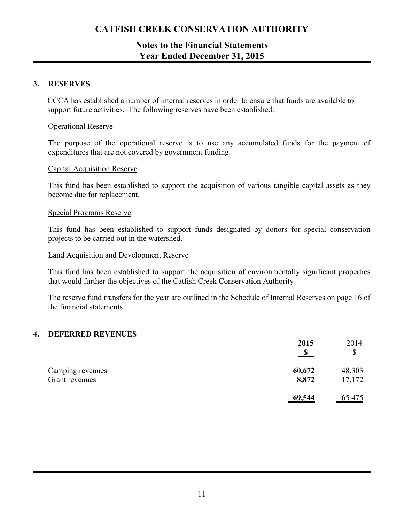### **Notes to the Financial Statements Year Ended December 31, 2015**

#### **3. RESERVES**

CCCA has established a number of internal reserves in order to ensure that funds are available to support future activities. The following reserves have been established:

#### Operational Reserve

The purpose of the operational reserve is to use any accumulated funds for the payment of expenditures that are not covered by government funding.

#### Capital Acquisition Reserve

This fund has been established to support the acquisition of various tangible capital assets as they become due for replacement.

#### Special Programs Reserve

This fund has been established to support funds designated by donors for special conservation projects to be carried out in the watershed.

#### Land Acquisition and Development Reserve

This fund has been established to support the acquisition of environmentally significant properties that would further the objectives of the Catfish Creek Conservation Authority

The reserve fund transfers for the year are outlined in the Schedule of Internal Reserves on page 16 of the financial statements.

#### **4. DEFERRED REVENUES**

|                                    | 2015            | 2014             |
|------------------------------------|-----------------|------------------|
| Camping revenues<br>Grant revenues | 60,672<br>8,872 | 48,303<br>17,172 |
|                                    | 69,544          | <u>65,475</u>    |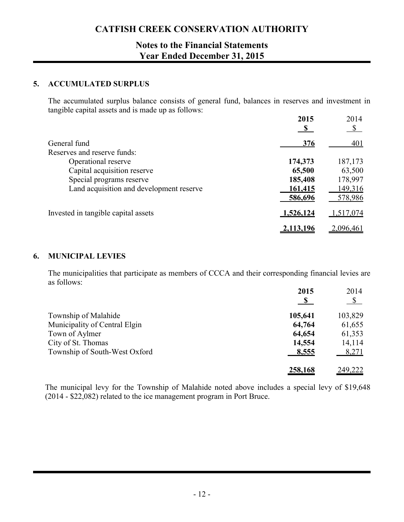### **Notes to the Financial Statements Year Ended December 31, 2015**

#### **5. ACCUMULATED SURPLUS**

The accumulated surplus balance consists of general fund, balances in reserves and investment in tangible capital assets and is made up as follows:

|                                          | 2015      | 2014<br>$\mathbb{S}$ |
|------------------------------------------|-----------|----------------------|
| General fund                             | 376       | 401                  |
| Reserves and reserve funds:              |           |                      |
| Operational reserve                      | 174,373   | 187,173              |
| Capital acquisition reserve              | 65,500    | 63,500               |
| Special programs reserve                 | 185,408   | 178,997              |
| Land acquisition and development reserve | 161,415   | 149,316              |
|                                          | 586,696   | 578,986              |
| Invested in tangible capital assets      | 1,526,124 | 1,517,074            |
|                                          | 2,113,196 | 2,096,461            |

#### **6. MUNICIPAL LEVIES**

The municipalities that participate as members of CCCA and their corresponding financial levies are as follows:

|                               | 2015         | 2014           |
|-------------------------------|--------------|----------------|
|                               | $\mathbf{s}$ | $\mathbb{S}$   |
| Township of Malahide          | 105,641      | 103,829        |
| Municipality of Central Elgin | 64,764       | 61,655         |
| Town of Aylmer                | 64,654       | 61,353         |
| City of St. Thomas            | 14,554       | 14,114         |
| Township of South-West Oxford | 8,555        | 8,271          |
|                               | 258,168      | <u>249,222</u> |

The municipal levy for the Township of Malahide noted above includes a special levy of \$19,648 (2014 - \$22,082) related to the ice management program in Port Bruce.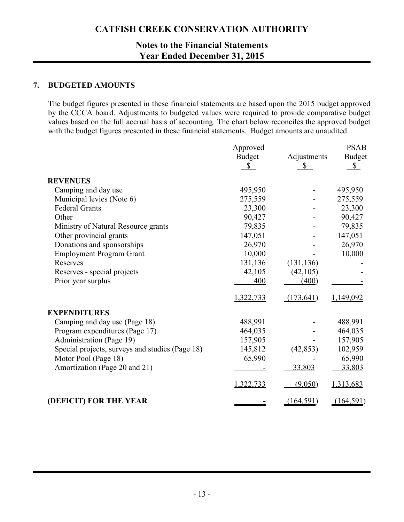### **Notes to the Financial Statements Year Ended December 31, 2015**

#### **7. BUDGETED AMOUNTS**

The budget figures presented in these financial statements are based upon the 2015 budget approved by the CCCA board. Adjustments to budgeted values were required to provide comparative budget values based on the full accrual basis of accounting. The chart below reconciles the approved budget with the budget figures presented in these financial statements. Budget amounts are unaudited.

|                                                 | Approved                      |                             | <b>PSAB</b>                   |
|-------------------------------------------------|-------------------------------|-----------------------------|-------------------------------|
|                                                 | <b>Budget</b><br>$\mathbb{S}$ | Adjustments<br>$\mathbb{S}$ | <b>Budget</b><br>$\mathbb{S}$ |
| <b>REVENUES</b>                                 |                               |                             |                               |
| Camping and day use                             | 495,950                       |                             | 495,950                       |
| Municipal levies (Note 6)                       | 275,559                       |                             | 275,559                       |
| <b>Federal Grants</b>                           | 23,300                        |                             | 23,300                        |
| Other                                           | 90,427                        |                             | 90,427                        |
| Ministry of Natural Resource grants             | 79,835                        |                             | 79,835                        |
| Other provincial grants                         | 147,051                       |                             | 147,051                       |
| Donations and sponsorships                      | 26,970                        |                             | 26,970                        |
| <b>Employment Program Grant</b>                 | 10,000                        |                             | 10,000                        |
| Reserves                                        | 131,136                       | (131, 136)                  |                               |
| Reserves - special projects                     | 42,105                        | (42,105)                    |                               |
| Prior year surplus                              | 400                           | (400)                       |                               |
|                                                 | 1,322,733                     | (173, 641)                  | 1,149,092                     |
| <b>EXPENDITURES</b>                             |                               |                             |                               |
| Camping and day use (Page 18)                   | 488,991                       |                             | 488,991                       |
| Program expenditures (Page 17)                  | 464,035                       |                             | 464,035                       |
| Administration (Page 19)                        | 157,905                       |                             | 157,905                       |
| Special projects, surveys and studies (Page 18) | 145,812                       | (42, 853)                   | 102,959                       |
| Motor Pool (Page 18)                            | 65,990                        |                             | 65,990                        |
| Amortization (Page 20 and 21)                   |                               | 33,803                      | 33,803                        |
|                                                 | 1,322,733                     | (9,050)                     | 1,313,683                     |
| (DEFICIT) FOR THE YEAR                          |                               | (164, 591)                  | (164, 591)                    |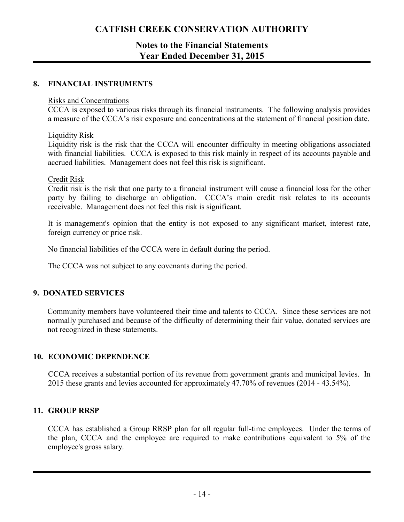### **Notes to the Financial Statements Year Ended December 31, 2015**

#### **8. FINANCIAL INSTRUMENTS**

#### Risks and Concentrations

CCCA is exposed to various risks through its financial instruments. The following analysis provides a measure of the CCCA's risk exposure and concentrations at the statement of financial position date.

#### Liquidity Risk

Liquidity risk is the risk that the CCCA will encounter difficulty in meeting obligations associated with financial liabilities. CCCA is exposed to this risk mainly in respect of its accounts payable and accrued liabilities. Management does not feel this risk is significant.

#### Credit Risk

Credit risk is the risk that one party to a financial instrument will cause a financial loss for the other party by failing to discharge an obligation. CCCA's main credit risk relates to its accounts receivable. Management does not feel this risk is significant.

It is management's opinion that the entity is not exposed to any significant market, interest rate, foreign currency or price risk.

No financial liabilities of the CCCA were in default during the period.

The CCCA was not subject to any covenants during the period.

#### **9. DONATED SERVICES**

Community members have volunteered their time and talents to CCCA. Since these services are not normally purchased and because of the difficulty of determining their fair value, donated services are not recognized in these statements.

#### **10. ECONOMIC DEPENDENCE**

CCCA receives a substantial portion of its revenue from government grants and municipal levies. In 2015 these grants and levies accounted for approximately 47.70% of revenues (2014 - 43.54%).

#### **11. GROUP RRSP**

CCCA has established a Group RRSP plan for all regular full-time employees. Under the terms of the plan, CCCA and the employee are required to make contributions equivalent to 5% of the employee's gross salary.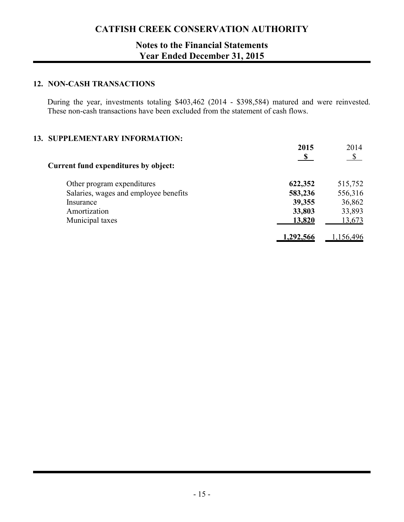### **Notes to the Financial Statements Year Ended December 31, 2015**

#### **12. NON-CASH TRANSACTIONS**

During the year, investments totaling \$403,462 (2014 - \$398,584) matured and were reinvested. These non-cash transactions have been excluded from the statement of cash flows.

#### **13. SUPPLEMENTARY INFORMATION:**

|                                       | 2015      | 2014<br>$\mathcal{S}$ |
|---------------------------------------|-----------|-----------------------|
| Current fund expenditures by object:  |           |                       |
| Other program expenditures            | 622,352   | 515,752               |
| Salaries, wages and employee benefits | 583,236   | 556,316               |
| Insurance                             | 39,355    | 36,862                |
| Amortization                          | 33,803    | 33,893                |
| Municipal taxes                       | 13,820    | 13,673                |
|                                       | 1,292,566 | ,156,496              |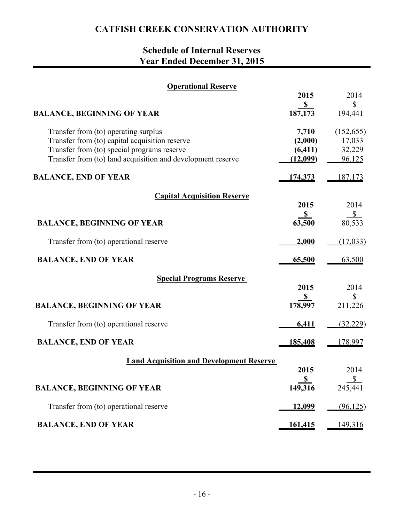# **Schedule of Internal Reserves Year Ended December 31, 2015**

| <b>Operational Reserve</b>                                                                                                                                                                           |                                          |                                          |
|------------------------------------------------------------------------------------------------------------------------------------------------------------------------------------------------------|------------------------------------------|------------------------------------------|
|                                                                                                                                                                                                      | 2015                                     | 2014                                     |
| <b>BALANCE, BEGINNING OF YEAR</b>                                                                                                                                                                    | $\sqrt{s}$<br>187,173                    | $\sqrt{\frac{1}{2}}$<br>194,441          |
| Transfer from (to) operating surplus<br>Transfer from (to) capital acquisition reserve<br>Transfer from (to) special programs reserve<br>Transfer from (to) land acquisition and development reserve | 7,710<br>(2,000)<br>(6, 411)<br>(12,099) | (152, 655)<br>17,033<br>32,229<br>96,125 |
| <b>BALANCE, END OF YEAR</b>                                                                                                                                                                          | <u>174,373</u>                           | 187,173                                  |
| <b>Capital Acquisition Reserve</b>                                                                                                                                                                   |                                          |                                          |
|                                                                                                                                                                                                      | 2015<br>S                                | 2014<br>S                                |
| <b>BALANCE, BEGINNING OF YEAR</b>                                                                                                                                                                    | 63,500                                   | 80,533                                   |
| Transfer from (to) operational reserve                                                                                                                                                               | 2,000                                    | (17, 033)                                |
| <b>BALANCE, END OF YEAR</b>                                                                                                                                                                          | 65,500                                   | 63,500                                   |
| <b>Special Programs Reserve</b>                                                                                                                                                                      |                                          |                                          |
|                                                                                                                                                                                                      | 2015                                     | 2014                                     |
| <b>BALANCE, BEGINNING OF YEAR</b>                                                                                                                                                                    | S<br>178,997                             | $rac{$}{211,226}$                        |
| Transfer from (to) operational reserve                                                                                                                                                               | 6,411                                    | (32, 229)                                |
| <b>BALANCE, END OF YEAR</b>                                                                                                                                                                          | 185,408                                  | 178,997                                  |
| <b>Land Acquisition and Development Reserve</b>                                                                                                                                                      |                                          |                                          |
|                                                                                                                                                                                                      | 2015                                     | 2014                                     |
| <b>BALANCE, BEGINNING OF YEAR</b>                                                                                                                                                                    | $\mathbf{s}$<br>149,316                  | $\frac{1}{2}$<br>245,441                 |
| Transfer from (to) operational reserve                                                                                                                                                               | <u>12,099</u>                            | (96, 125)                                |
| <b>BALANCE, END OF YEAR</b>                                                                                                                                                                          | 161,415                                  | <u>149,316</u>                           |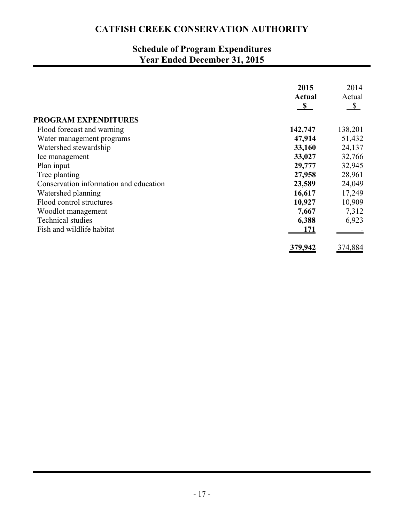# **Schedule of Program Expenditures Year Ended December 31, 2015**

|                                        | 2015         | 2014                   |
|----------------------------------------|--------------|------------------------|
|                                        | Actual       | Actual                 |
|                                        | $\mathbf{s}$ | $\sqrt{\frac{2}{\pi}}$ |
| <b>PROGRAM EXPENDITURES</b>            |              |                        |
| Flood forecast and warning             | 142,747      | 138,201                |
| Water management programs              | 47,914       | 51,432                 |
| Watershed stewardship                  | 33,160       | 24,137                 |
| Ice management                         | 33,027       | 32,766                 |
| Plan input                             | 29,777       | 32,945                 |
| Tree planting                          | 27,958       | 28,961                 |
| Conservation information and education | 23,589       | 24,049                 |
| Watershed planning                     | 16,617       | 17,249                 |
| Flood control structures               | 10,927       | 10,909                 |
| Woodlot management                     | 7,667        | 7,312                  |
| <b>Technical studies</b>               | 6,388        | 6,923                  |
| Fish and wildlife habitat              | 171          |                        |
|                                        | 379,942      | 374,884                |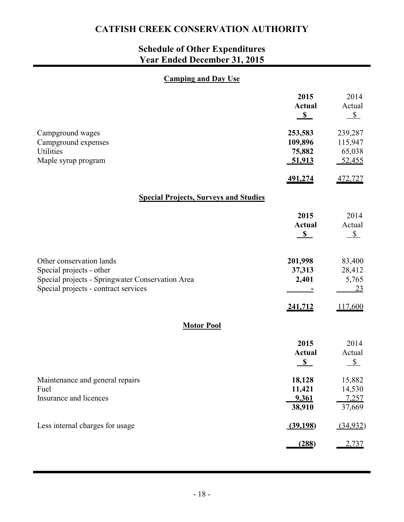# **Schedule of Other Expenditures Year Ended December 31, 2015**

### **Camping and Day Use**

|                                                                                                                                                  | 2015<br><b>Actual</b><br>S             | 2014<br>Actual<br>$\sqrt{s}$           |
|--------------------------------------------------------------------------------------------------------------------------------------------------|----------------------------------------|----------------------------------------|
| Campground wages<br>Campground expenses<br>Utilities<br>Maple syrup program                                                                      | 253,583<br>109,896<br>75,882<br>51,913 | 239,287<br>115,947<br>65,038<br>52,455 |
|                                                                                                                                                  | 491,274                                | 472,727                                |
| <b>Special Projects, Surveys and Studies</b>                                                                                                     |                                        |                                        |
|                                                                                                                                                  | 2015<br><b>Actual</b><br>S             | 2014<br>Actual<br>$S_{-}$              |
| Other conservation lands<br>Special projects - other<br>Special projects - Springwater Conservation Area<br>Special projects - contract services | 201,998<br>37,313<br>2,401             | 83,400<br>28,412<br>5,765<br><u>23</u> |
|                                                                                                                                                  | 241,712                                | 117,600                                |
| <b>Motor Pool</b>                                                                                                                                |                                        |                                        |
|                                                                                                                                                  | 2015<br><b>Actual</b><br>S             | 2014<br>Actual<br>$S_{-}$              |
| Maintenance and general repairs<br>Fuel                                                                                                          | 18,128<br>11,421                       | 15,882<br>14,530                       |
| Insurance and licences                                                                                                                           | 9,361<br>38,910                        | <u>7,257</u><br>37,669                 |
| Less internal charges for usage                                                                                                                  | (39,198)                               | (34,932)                               |
|                                                                                                                                                  | (288)                                  | 2,737                                  |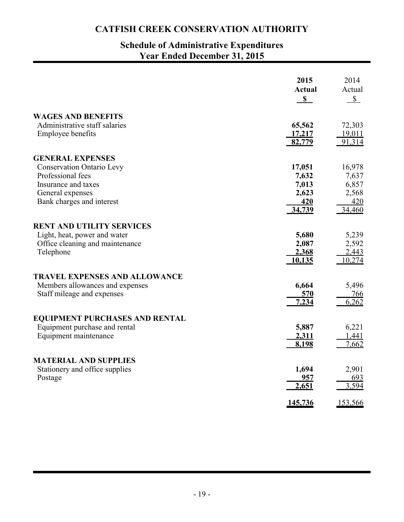### **Schedule of Administrative Expenditures Year Ended December 31, 2015**

|                                                                                                                               | 2015<br><b>Actual</b><br>$\mathbf S$                      | 2014<br>Actual<br>$\mathbb{S}$                     |
|-------------------------------------------------------------------------------------------------------------------------------|-----------------------------------------------------------|----------------------------------------------------|
| <b>WAGES AND BENEFITS</b>                                                                                                     |                                                           |                                                    |
| Administrative staff salaries<br><b>Employee benefits</b>                                                                     | 65,562<br><u>17,217</u><br>82,779                         | 72,303<br>19,011<br>91,314                         |
| <b>GENERAL EXPENSES</b>                                                                                                       |                                                           |                                                    |
| <b>Conservation Ontario Levy</b><br>Professional fees<br>Insurance and taxes<br>General expenses<br>Bank charges and interest | 17,051<br>7,632<br>7,013<br>2,623<br><u>420</u><br>34,739 | 16,978<br>7,637<br>6,857<br>2,568<br>420<br>34,460 |
| <b>RENT AND UTILITY SERVICES</b>                                                                                              |                                                           |                                                    |
| Light, heat, power and water<br>Office cleaning and maintenance<br>Telephone                                                  | 5,680<br>2,087<br>2,368<br>10,135                         | 5,239<br>2,592<br>2,443<br>10,274                  |
| <b>TRAVEL EXPENSES AND ALLOWANCE</b><br>Members allowances and expenses<br>Staff mileage and expenses                         | 6,664<br>570<br>7,234                                     | 5,496<br><u>766</u><br>6,262                       |
| <b>EQUIPMENT PURCHASES AND RENTAL</b>                                                                                         |                                                           |                                                    |
| Equipment purchase and rental<br>Equipment maintenance                                                                        | 5,887<br>2,311<br>8,198                                   | 6,221<br>1,441<br>7,662                            |
| <b>MATERIAL AND SUPPLIES</b>                                                                                                  |                                                           |                                                    |
| Stationery and office supplies<br>Postage                                                                                     | 1,694<br>957<br>2,651                                     | 2,901<br>693<br>3,594                              |
|                                                                                                                               | 145,736                                                   | 153,566                                            |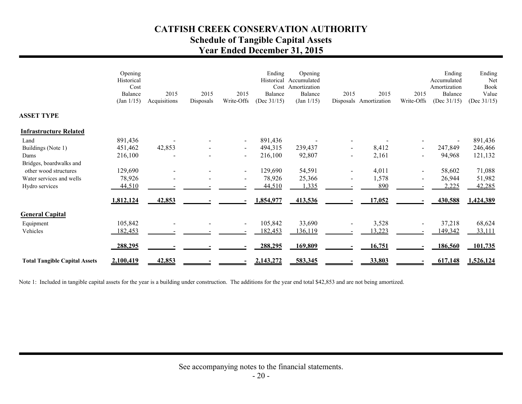# **CATFISH CREEK CONSERVATION AUTHORITY Schedule of Tangible Capital Assets Year Ended December 31, 2015**

|                                      | Opening<br>Historical<br>Cost<br>Balance<br>(Jan 1/15) | 2015<br>Acquisitions | 2015<br>Disposals | 2015<br>Write-Offs | Ending<br>Balance<br>(Dec $31/15$ ) | Opening<br>Historical Accumulated<br>Cost Amortization<br>Balance<br>(Jan 1/15) | 2015 | 2015<br>Disposals Amortization | 2015<br>Write-Offs | Ending<br>Accumulated<br>Amortization<br>Balance<br>(Dec $31/15$ ) | Ending<br>Net<br><b>Book</b><br>Value<br>(Dec $31/15$ ) |
|--------------------------------------|--------------------------------------------------------|----------------------|-------------------|--------------------|-------------------------------------|---------------------------------------------------------------------------------|------|--------------------------------|--------------------|--------------------------------------------------------------------|---------------------------------------------------------|
| <b>ASSET TYPE</b>                    |                                                        |                      |                   |                    |                                     |                                                                                 |      |                                |                    |                                                                    |                                                         |
| <b>Infrastructure Related</b>        |                                                        |                      |                   |                    |                                     |                                                                                 |      |                                |                    |                                                                    |                                                         |
| Land                                 | 891,436                                                |                      |                   | $\sim$             | 891,436                             |                                                                                 |      |                                |                    |                                                                    | 891,436                                                 |
| Buildings (Note 1)                   | 451,462                                                | 42,853               |                   | $\sim$             | 494,315                             | 239,437                                                                         |      | 8,412                          | $\blacksquare$     | 247,849                                                            | 246,466                                                 |
| Dams                                 | 216,100                                                |                      |                   | $\sim$             | 216,100                             | 92,807                                                                          |      | 2,161                          |                    | 94,968                                                             | 121,132                                                 |
| Bridges, boardwalks and              |                                                        |                      |                   |                    |                                     |                                                                                 |      |                                |                    |                                                                    |                                                         |
| other wood structures                | 129,690                                                |                      |                   | $\sim$             | 129,690                             | 54,591                                                                          |      | 4,011                          |                    | 58,602                                                             | 71,088                                                  |
| Water services and wells             | 78,926                                                 |                      |                   | $\blacksquare$     | 78,926                              | 25,366                                                                          |      | 1,578                          |                    | 26,944                                                             | 51,982                                                  |
| Hydro services                       | 44,510                                                 |                      |                   |                    | 44,510                              | 1,335                                                                           |      | 890                            |                    | 2,225                                                              | 42,285                                                  |
|                                      | 1,812,124                                              | 42,853               |                   |                    | 1,854,977                           | 413,536                                                                         |      | 17,052                         |                    | 430,588                                                            | 1,424,389                                               |
| <b>General Capital</b>               |                                                        |                      |                   |                    |                                     |                                                                                 |      |                                |                    |                                                                    |                                                         |
| Equipment                            | 105,842                                                |                      |                   | $\blacksquare$     | 105,842                             | 33,690                                                                          |      | 3,528                          |                    | 37,218                                                             | 68,624                                                  |
| Vehicles                             | 182,453                                                |                      |                   |                    | 182,453                             | 136,119                                                                         |      | 13,223                         |                    | 149,342                                                            | 33,111                                                  |
|                                      |                                                        |                      |                   |                    |                                     |                                                                                 |      |                                |                    |                                                                    |                                                         |
|                                      | 288,295                                                |                      |                   |                    | 288,295                             | 169,809                                                                         |      | 16,751                         |                    | 186,560                                                            | 101,735                                                 |
| <b>Total Tangible Capital Assets</b> | 2,100,419                                              | 42,853               |                   |                    | 2,143,272                           | 583,345                                                                         |      | 33,803                         |                    | 617,148                                                            | 1,526,124                                               |

Note 1: Included in tangible capital assets for the year is a building under construction. The additions for the year end total \$42,853 and are not being amortized.